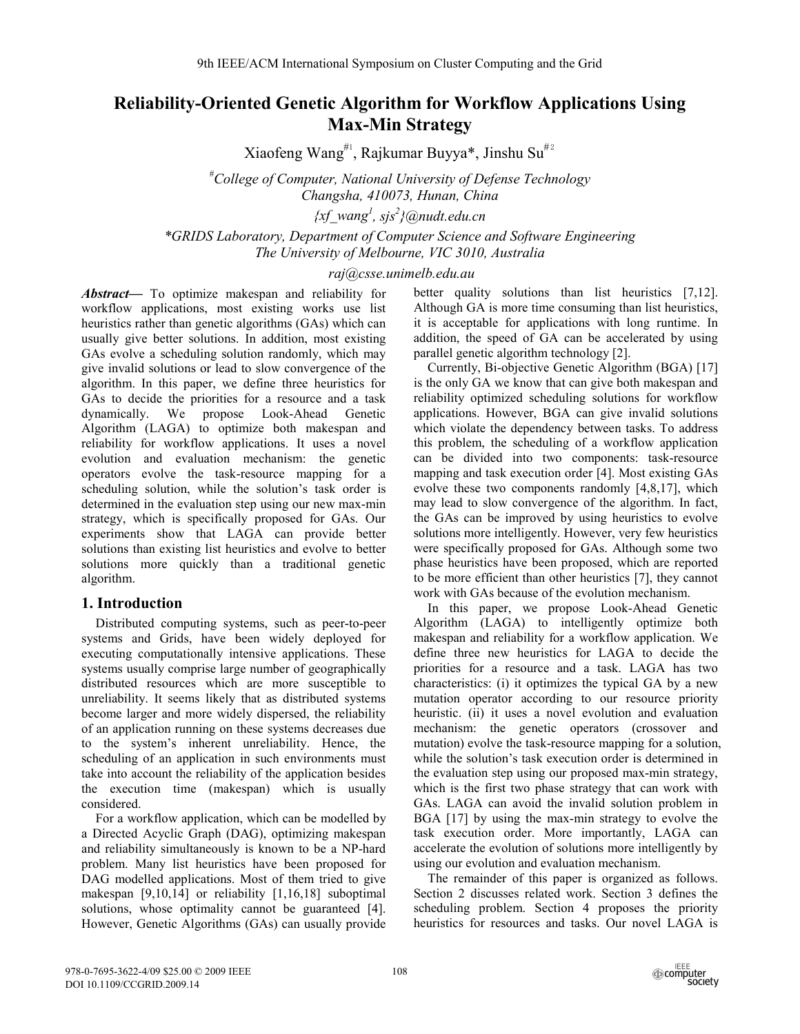# **Reliability-Oriented Genetic Algorithm for Workflow Applications Using Max-Min Strategy**

Xiaofeng Wang<sup>#1</sup>, Rajkumar Buyya\*, Jinshu Su<sup>#2</sup>

*# College of Computer, National University of Defense Technology Changsha, 410073, Hunan, China* 

*{xf\_wang<sup>1</sup> , sjs<sup>2</sup> }@nudt.edu.cn* 

*\*GRIDS Laboratory, Department of Computer Science and Software Engineering The University of Melbourne, VIC 3010, Australia* 

### *raj@csse.unimelb.edu.au*

*Abstract***—** To optimize makespan and reliability for workflow applications, most existing works use list heuristics rather than genetic algorithms (GAs) which can usually give better solutions. In addition, most existing GAs evolve a scheduling solution randomly, which may give invalid solutions or lead to slow convergence of the algorithm. In this paper, we define three heuristics for GAs to decide the priorities for a resource and a task dynamically. We propose Look-Ahead Genetic Algorithm (LAGA) to optimize both makespan and reliability for workflow applications. It uses a novel evolution and evaluation mechanism: the genetic operators evolve the task-resource mapping for a scheduling solution, while the solution's task order is determined in the evaluation step using our new max-min strategy, which is specifically proposed for GAs. Our experiments show that LAGA can provide better solutions than existing list heuristics and evolve to better solutions more quickly than a traditional genetic algorithm.

## **1. Introduction**

Distributed computing systems, such as peer-to-peer systems and Grids, have been widely deployed for executing computationally intensive applications. These systems usually comprise large number of geographically distributed resources which are more susceptible to unreliability. It seems likely that as distributed systems become larger and more widely dispersed, the reliability of an application running on these systems decreases due to the system's inherent unreliability. Hence, the scheduling of an application in such environments must take into account the reliability of the application besides the execution time (makespan) which is usually considered.

For a workflow application, which can be modelled by a Directed Acyclic Graph (DAG), optimizing makespan and reliability simultaneously is known to be a NP-hard problem. Many list heuristics have been proposed for DAG modelled applications. Most of them tried to give makespan [9,10,14] or reliability [1,16,18] suboptimal solutions, whose optimality cannot be guaranteed [4]. However, Genetic Algorithms (GAs) can usually provide better quality solutions than list heuristics [7,12]. Although GA is more time consuming than list heuristics, it is acceptable for applications with long runtime. In addition, the speed of GA can be accelerated by using parallel genetic algorithm technology [2].

Currently, Bi-objective Genetic Algorithm (BGA) [17] is the only GA we know that can give both makespan and reliability optimized scheduling solutions for workflow applications. However, BGA can give invalid solutions which violate the dependency between tasks. To address this problem, the scheduling of a workflow application can be divided into two components: task-resource mapping and task execution order [4]. Most existing GAs evolve these two components randomly [4,8,17], which may lead to slow convergence of the algorithm. In fact, the GAs can be improved by using heuristics to evolve solutions more intelligently. However, very few heuristics were specifically proposed for GAs. Although some two phase heuristics have been proposed, which are reported to be more efficient than other heuristics [7], they cannot work with GAs because of the evolution mechanism.

In this paper, we propose Look-Ahead Genetic Algorithm (LAGA) to intelligently optimize both makespan and reliability for a workflow application. We define three new heuristics for LAGA to decide the priorities for a resource and a task. LAGA has two characteristics: (i) it optimizes the typical GA by a new mutation operator according to our resource priority heuristic. (ii) it uses a novel evolution and evaluation mechanism: the genetic operators (crossover and mutation) evolve the task-resource mapping for a solution, while the solution's task execution order is determined in the evaluation step using our proposed max-min strategy, which is the first two phase strategy that can work with GAs. LAGA can avoid the invalid solution problem in BGA [17] by using the max-min strategy to evolve the task execution order. More importantly, LAGA can accelerate the evolution of solutions more intelligently by using our evolution and evaluation mechanism.

The remainder of this paper is organized as follows. Section 2 discusses related work. Section 3 defines the scheduling problem. Section 4 proposes the priority heuristics for resources and tasks. Our novel LAGA is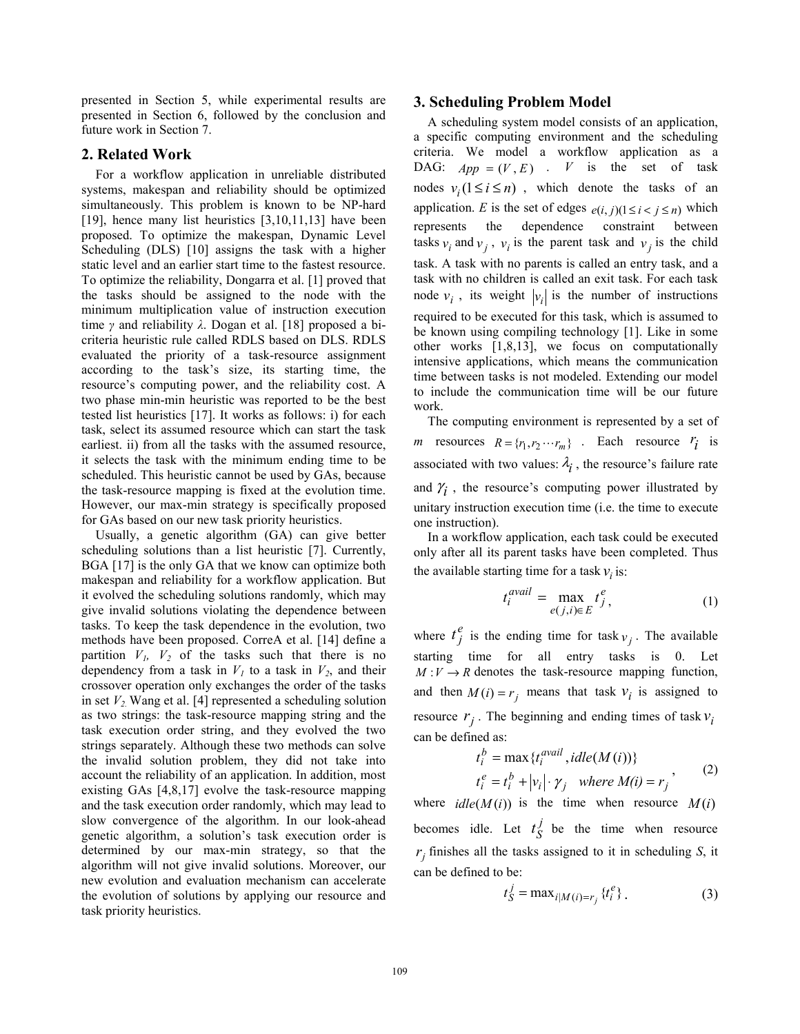presented in Section 5, while experimental results are presented in Section 6, followed by the conclusion and future work in Section 7.

#### **2. Related Work**

For a workflow application in unreliable distributed systems, makespan and reliability should be optimized simultaneously. This problem is known to be NP-hard [19], hence many list heuristics [3,10,11,13] have been proposed. To optimize the makespan, Dynamic Level Scheduling (DLS) [10] assigns the task with a higher static level and an earlier start time to the fastest resource. To optimize the reliability, Dongarra et al. [1] proved that the tasks should be assigned to the node with the minimum multiplication value of instruction execution time *γ* and reliability *λ*. Dogan et al. [18] proposed a bicriteria heuristic rule called RDLS based on DLS. RDLS evaluated the priority of a task-resource assignment according to the task's size, its starting time, the resource's computing power, and the reliability cost. A two phase min-min heuristic was reported to be the best tested list heuristics [17]. It works as follows: i) for each task, select its assumed resource which can start the task earliest. ii) from all the tasks with the assumed resource, it selects the task with the minimum ending time to be scheduled. This heuristic cannot be used by GAs, because the task-resource mapping is fixed at the evolution time. However, our max-min strategy is specifically proposed for GAs based on our new task priority heuristics.

Usually, a genetic algorithm (GA) can give better scheduling solutions than a list heuristic [7]. Currently, BGA [17] is the only GA that we know can optimize both makespan and reliability for a workflow application. But it evolved the scheduling solutions randomly, which may give invalid solutions violating the dependence between tasks. To keep the task dependence in the evolution, two methods have been proposed. CorreA et al. [14] define a partition  $V_1$ ,  $V_2$  of the tasks such that there is no dependency from a task in  $V_1$  to a task in  $V_2$ , and their crossover operation only exchanges the order of the tasks in set  $V_2$ . Wang et al. [4] represented a scheduling solution as two strings: the task-resource mapping string and the task execution order string, and they evolved the two strings separately. Although these two methods can solve the invalid solution problem, they did not take into account the reliability of an application. In addition, most existing GAs [4,8,17] evolve the task-resource mapping and the task execution order randomly, which may lead to slow convergence of the algorithm. In our look-ahead genetic algorithm, a solution's task execution order is determined by our max-min strategy, so that the algorithm will not give invalid solutions. Moreover, our new evolution and evaluation mechanism can accelerate the evolution of solutions by applying our resource and task priority heuristics.

#### **3. Scheduling Problem Model**

A scheduling system model consists of an application, a specific computing environment and the scheduling criteria. We model a workflow application as a DAG:  $App = (V, E)$ . *V* is the set of task nodes  $v_i (1 \le i \le n)$ , which denote the tasks of an application. *E* is the set of edges  $e(i, j)$ ( $1 \le i < j \le n$ ) which represents the dependence constraint between tasks  $v_i$  and  $v_j$ ,  $v_j$  is the parent task and  $v_j$  is the child task. A task with no parents is called an entry task, and a task with no children is called an exit task. For each task node  $v_i$ , its weight  $|v_i|$  is the number of instructions required to be executed for this task, which is assumed to be known using compiling technology [1]. Like in some other works [1,8,13], we focus on computationally intensive applications, which means the communication time between tasks is not modeled. Extending our model to include the communication time will be our future work.

The computing environment is represented by a set of *m* resources  $R = \{r_1, r_2 \cdots r_m\}$ . Each resource  $r_i$  is associated with two values:  $\lambda_i$ , the resource's failure rate and  $\gamma$ <sub>i</sub>, the resource's computing power illustrated by unitary instruction execution time (i.e. the time to execute one instruction).

In a workflow application, each task could be executed only after all its parent tasks have been completed. Thus the available starting time for a task  $v_i$  is:

$$
t_i^{\text{avail}} = \max_{e(j,i)\in E} t_j^e,\tag{1}
$$

where  $t_j^e$  is the ending time for task  $v_j$ . The available starting time for all entry tasks is 0. Let  $M: V \to R$  denotes the task-resource mapping function, and then  $M(i) = r_i$  means that task  $v_i$  is assigned to resource  $r_j$ . The beginning and ending times of task  $v_i$ can be defined as:

$$
t_i^b = \max \{ t_i^{\text{avail}}, \text{idle}(M(i)) \}
$$
  

$$
t_i^e = t_i^b + |v_i| \cdot \gamma_j \quad \text{where } M(i) = r_j \right)
$$
 (2)

where  $idle(M(i))$  is the time when resource  $M(i)$ becomes idle. Let  $t_S^j$  be the time when resource  $r_j$  finishes all the tasks assigned to it in scheduling *S*, it can be defined to be:

$$
t_S^j = \max_{i|M(i)=r_j} \{t_i^e\}.
$$
 (3)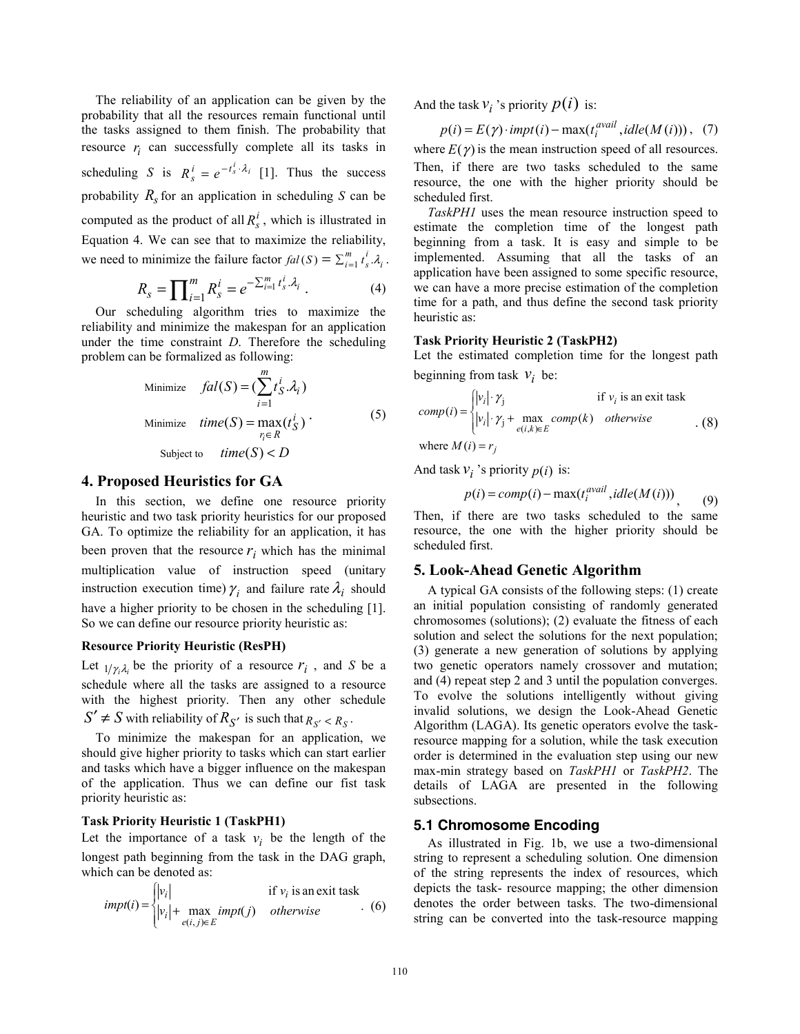The reliability of an application can be given by the probability that all the resources remain functional until the tasks assigned to them finish. The probability that resource  $r_i$  can successfully complete all its tasks in scheduling *S* is  $R_s^i = e^{-t_s^i \cdot \lambda_i}$  [1]. Thus the success probability  $R_s$  for an application in scheduling *S* can be computed as the product of all  $R_s^l$ , which is illustrated in Equation 4. We can see that to maximize the reliability, we need to minimize the failure factor  $fal(S) = \sum_{i=1}^{m} t_s^i \cdot \lambda_i$ *s*  $fal(S) = \sum_{i=1}^{m} t_s^{i} \lambda_i$ .

$$
R_s = \prod_{i=1}^{m} R_s^i = e^{-\sum_{i=1}^{m} t_s^i \cdot \lambda_i} \ . \tag{4}
$$

Our scheduling algorithm tries to maximize the reliability and minimize the makespan for an application under the time constraint *D*. Therefore the scheduling problem can be formalized as following:

Minimize 
$$
fal(S) = \left(\sum_{i=1}^{m} t_S^{i} \cdot \lambda_i\right)
$$
  
\nMinimize  $time(S) = \max_{r_i \in R} (t_S^{i})$   
\nSubject to  $time(S) < D$  (5)

#### **4. Proposed Heuristics for GA**

In this section, we define one resource priority heuristic and two task priority heuristics for our proposed GA. To optimize the reliability for an application, it has been proven that the resource  $r_i$  which has the minimal multiplication value of instruction speed (unitary instruction execution time)  $\gamma_i$  and failure rate  $\lambda_i$  should have a higher priority to be chosen in the scheduling [1]. So we can define our resource priority heuristic as:

### **Resource Priority Heuristic (ResPH)**

Let  $\frac{1}{\gamma_i \lambda_i}$  be the priority of a resource  $r_i$ , and *S* be a schedule where all the tasks are assigned to a resource with the highest priority. Then any other schedule  $S' \neq S$  with reliability of  $R_{S'}$  is such that  $R_{S'} < R_S$ .

To minimize the makespan for an application, we should give higher priority to tasks which can start earlier and tasks which have a bigger influence on the makespan of the application. Thus we can define our fist task priority heuristic as:

#### **Task Priority Heuristic 1 (TaskPH1)**

Let the importance of a task  $v_i$  be the length of the longest path beginning from the task in the DAG graph, which can be denoted as:

$$
impt(i) = \begin{cases} |v_i| & \text{if } v_i \text{ is an exit task} \\ |v_i| + \max_{e(i,j) \in E} impt(j) & otherwise \end{cases}
$$
 (6)

And the task  $v_i$  's priority  $p(i)$  is:

$$
p(i) = E(\gamma) \cdot impt(i) - \max(t_i^{avail}, idle(M(i))), (7)
$$

where  $E(\gamma)$  is the mean instruction speed of all resources. Then, if there are two tasks scheduled to the same resource, the one with the higher priority should be scheduled first.

*TaskPH1* uses the mean resource instruction speed to estimate the completion time of the longest path beginning from a task. It is easy and simple to be implemented. Assuming that all the tasks of an application have been assigned to some specific resource, we can have a more precise estimation of the completion time for a path, and thus define the second task priority heuristic as:

#### **Task Priority Heuristic 2 (TaskPH2)**

Let the estimated completion time for the longest path beginning from task  $v_i$  be:

comp(i) = 
$$
\begin{cases} |v_i| \cdot \gamma_j & \text{if } v_i \text{ is an exit task} \\ |v_i| \cdot \gamma_j + \max_{e(i,k) \in E} comp(k) & otherwise \end{cases}
$$
 (8)

where  $M(i) = r_j$ 

And task  $v_i$  's priority  $p(i)$  is:

$$
p(i) = comp(i) - \max(t_i^{avail}, idle(M(i)))
$$
\n(9)

Then, if there are two tasks scheduled to the same resource, the one with the higher priority should be scheduled first.

#### **5. Look-Ahead Genetic Algorithm**

A typical GA consists of the following steps: (1) create an initial population consisting of randomly generated chromosomes (solutions); (2) evaluate the fitness of each solution and select the solutions for the next population; (3) generate a new generation of solutions by applying two genetic operators namely crossover and mutation; and (4) repeat step 2 and 3 until the population converges. To evolve the solutions intelligently without giving invalid solutions, we design the Look-Ahead Genetic Algorithm (LAGA). Its genetic operators evolve the taskresource mapping for a solution, while the task execution order is determined in the evaluation step using our new max-min strategy based on *TaskPH1* or *TaskPH2*. The details of LAGA are presented in the following subsections.

#### **5.1 Chromosome Encoding**

As illustrated in Fig. 1b, we use a two-dimensional string to represent a scheduling solution. One dimension of the string represents the index of resources, which depicts the task- resource mapping; the other dimension denotes the order between tasks. The two-dimensional string can be converted into the task-resource mapping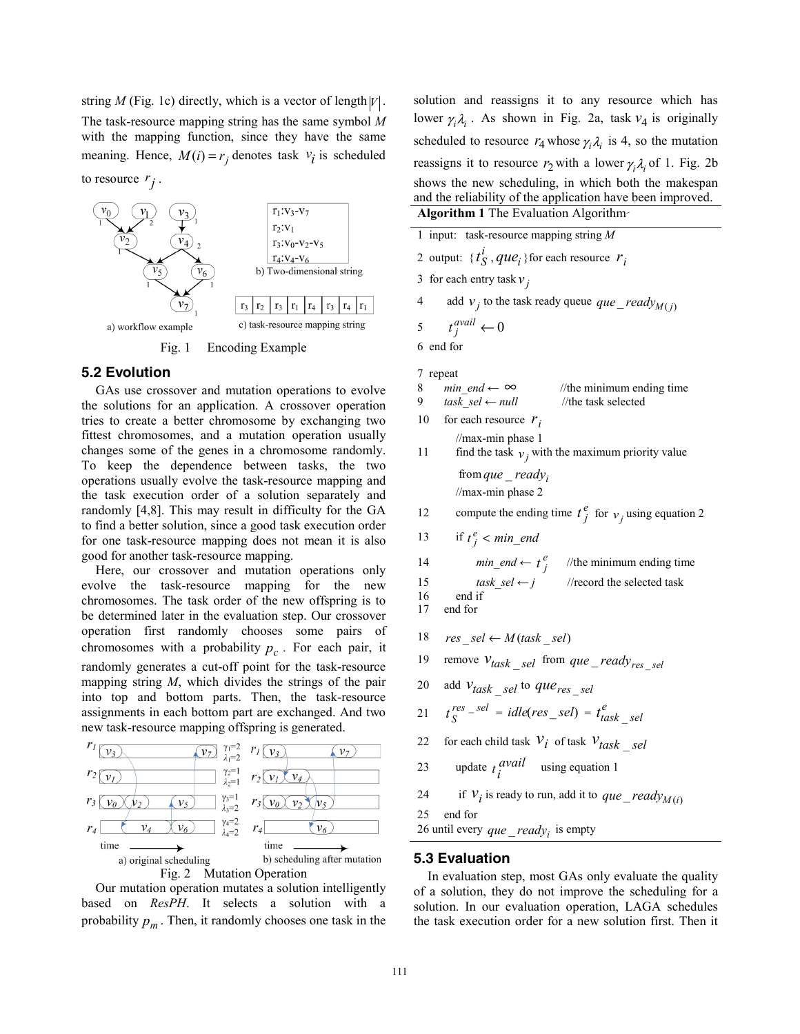string *M* (Fig. 1c) directly, which is a vector of length  $|V|$ . The task-resource mapping string has the same symbol *M* with the mapping function, since they have the same meaning. Hence,  $M(i) = r_j$  denotes task  $v_i$  is scheduled



Fig. 1 Encoding Example

#### **5.2 Evolution**

to resource  $r_i$ .

GAs use crossover and mutation operations to evolve the solutions for an application. A crossover operation tries to create a better chromosome by exchanging two fittest chromosomes, and a mutation operation usually changes some of the genes in a chromosome randomly. To keep the dependence between tasks, the two operations usually evolve the task-resource mapping and the task execution order of a solution separately and randomly [4,8]. This may result in difficulty for the GA to find a better solution, since a good task execution order for one task-resource mapping does not mean it is also good for another task-resource mapping.

Here, our crossover and mutation operations only evolve the task-resource mapping for the new chromosomes. The task order of the new offspring is to be determined later in the evaluation step. Our crossover operation first randomly chooses some pairs of chromosomes with a probability  $p_c$ . For each pair, it randomly generates a cut-off point for the task-resource mapping string *M*, which divides the strings of the pair into top and bottom parts. Then, the task-resource assignments in each bottom part are exchanged. And two new task-resource mapping offspring is generated.



Our mutation operation mutates a solution intelligently based on *ResPH*. It selects a solution with a probability  $p_m$ . Then, it randomly chooses one task in the solution and reassigns it to any resource which has lower  $\gamma_i \lambda_i$ . As shown in Fig. 2a, task  $v_4$  is originally scheduled to resource  $r_4$  whose  $\gamma_i \lambda_i$  is 4, so the mutation reassigns it to resource  $r_2$  with a lower  $\gamma_i \lambda_i$  of 1. Fig. 2b shows the new scheduling, in which both the makespan and the reliability of the application have been improved.

| Algorithm 1 The Evaluation Algorithm-                                                           |  |
|-------------------------------------------------------------------------------------------------|--|
| 1 input: task-resource mapping string $M$                                                       |  |
| 2 output: $\{t_S^l, que_i\}$ for each resource $r_i$                                            |  |
| 3 for each entry task $v_i$                                                                     |  |
| add $v_i$ to the task ready queue que _ ready $M(i)$<br>4                                       |  |
| $t_i^{avail} \leftarrow 0$<br>5                                                                 |  |
| 6 end for                                                                                       |  |
| 7 repeat                                                                                        |  |
| <i>min</i> end $\leftarrow \infty$ //the minimum ending time<br>8                               |  |
| task sel $\leftarrow$ null<br>9.<br>//the task selected                                         |  |
| 10<br>for each resource $r_i$                                                                   |  |
| $\frac{1}{\text{max-min phase}}$ 1<br>find the task $v_i$ with the maximum priority value<br>11 |  |
| from que _ ready;                                                                               |  |
| $\frac{1}{\text{max-min phase}}$ 2                                                              |  |
| compute the ending time $t_j^e$ for $v_j$ using equation 2<br>12                                |  |
| 13<br>if $t_i^e$ < min_end                                                                      |  |
| <i>min_end</i> $\leftarrow t_j^e$ //the minimum ending time<br>14                               |  |
| task sel $\leftarrow j$ //record the selected task<br>15                                        |  |
| end if<br>16<br>17<br>end for                                                                   |  |
|                                                                                                 |  |
| 18<br>$res\_sel \leftarrow M(task\_sel)$                                                        |  |
| remove $v_{task\_sel}$ from que _ ready <sub>res _sel</sub><br>19                               |  |
| add Vtask _sel to que res _sel<br>20                                                            |  |
| $t_s^{res}$ - $sel$ = $idle(res\_sel)$ = $t_{task}^{e}$ sel<br>21                               |  |
| for each child task $V_i$ of task $V_{task}$ sel<br>22                                          |  |
| update $t_i^{avail}$ using equation 1<br>23                                                     |  |
|                                                                                                 |  |

24 if  $V_i$  is ready to run, add it to  $que\_ready_{M(i)}$ 

25 end for

26 until every  $que\_ready_i$  is empty

### **5.3 Evaluation**

In evaluation step, most GAs only evaluate the quality of a solution, they do not improve the scheduling for a solution. In our evaluation operation, LAGA schedules the task execution order for a new solution first. Then it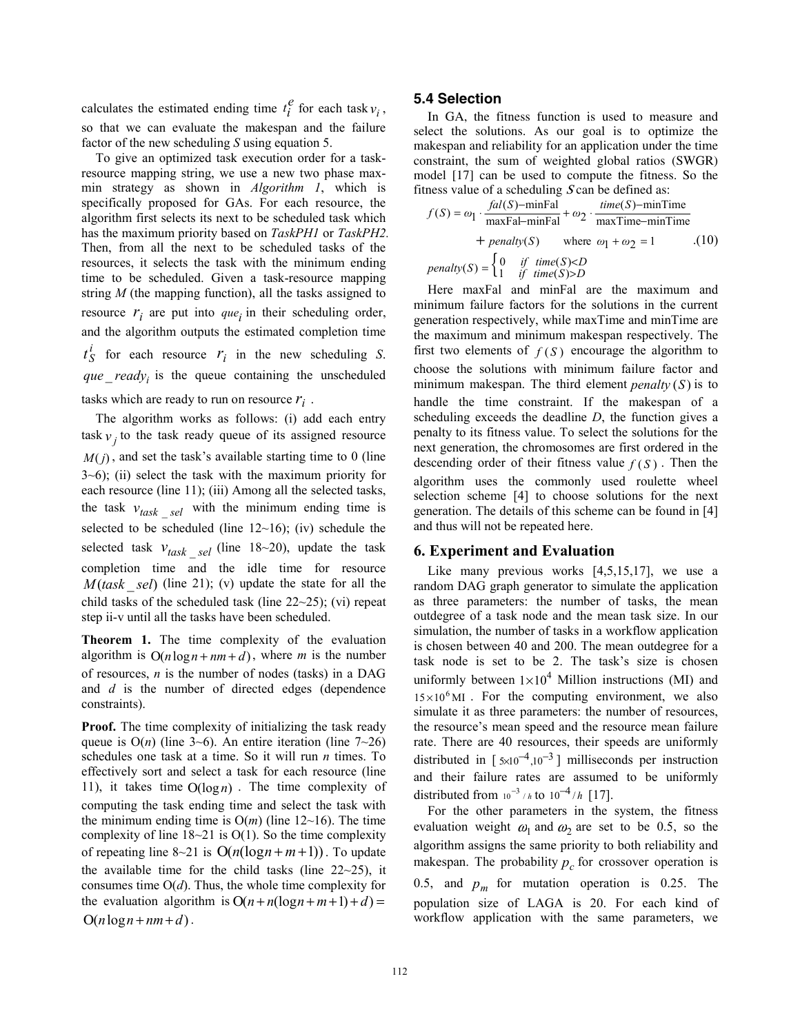calculates the estimated ending time  $t_i^e$  for each task  $v_i$ , so that we can evaluate the makespan and the failure factor of the new scheduling *S* using equation 5.

To give an optimized task execution order for a taskresource mapping string, we use a new two phase maxmin strategy as shown in *Algorithm 1*, which is specifically proposed for GAs. For each resource, the algorithm first selects its next to be scheduled task which has the maximum priority based on *TaskPH1* or *TaskPH2.* Then, from all the next to be scheduled tasks of the resources, it selects the task with the minimum ending time to be scheduled. Given a task-resource mapping string *M* (the mapping function), all the tasks assigned to resource  $r_i$  are put into  $que_i$  in their scheduling order, and the algorithm outputs the estimated completion time  $t_S^i$  for each resource  $r_i$  in the new scheduling *S*. *que*  $ready$  is the queue containing the unscheduled tasks which are ready to run on resource  $r_i$ .

The algorithm works as follows: (i) add each entry task  $v_j$  to the task ready queue of its assigned resource  $M(j)$ , and set the task's available starting time to 0 (line 3~6); (ii) select the task with the maximum priority for each resource (line 11); (iii) Among all the selected tasks, the task  $v_{task}$  *sel* with the minimum ending time is selected to be scheduled (line 12~16); (iv) schedule the selected task  $v_{task}$  *sel* (line 18~20), update the task completion time and the idle time for resource *M*(*task* \_ *sel*) (line 21); (v) update the state for all the child tasks of the scheduled task (line 22~25); (vi) repeat step ii-v until all the tasks have been scheduled.

**Theorem 1.** The time complexity of the evaluation algorithm is  $O(n \log n + nm + d)$ , where *m* is the number of resources, *n* is the number of nodes (tasks) in a DAG and *d* is the number of directed edges (dependence constraints).

**Proof.** The time complexity of initializing the task ready queue is  $O(n)$  (line 3~6). An entire iteration (line 7~26) schedules one task at a time. So it will run *n* times. To effectively sort and select a task for each resource (line 11), it takes time  $O(log n)$ . The time complexity of computing the task ending time and select the task with the minimum ending time is  $O(m)$  (line 12~16). The time complexity of line  $18-21$  is O(1). So the time complexity of repeating line 8~21 is  $O(n(\log n + m + 1))$ . To update the available time for the child tasks (line  $22{\sim}25$ ), it consumes time O(*d*). Thus, the whole time complexity for the evaluation algorithm is  $O(n+n(\log n+m+1)+d)$  =  $O(n \log n + nm + d)$ .

#### **5.4 Selection**

In GA, the fitness function is used to measure and select the solutions. As our goal is to optimize the makespan and reliability for an application under the time constraint, the sum of weighted global ratios (SWGR) model [17] can be used to compute the fitness. So the fitness value of a scheduling  $S \text{ can be defined as:}$ 

$$
f(S) = \omega_1 \cdot \frac{fal(S) - \text{minFal}}{\text{maxFal} - \text{minFal}} + \omega_2 \cdot \frac{time(S) - \text{minTime}}{\text{maxTime} - \text{minTime}} + \text{penalty}(S) \quad \text{where } \omega_1 + \omega_2 = 1 \tag{10}
$$
\n
$$
penalty(S) = \begin{cases} 0 & \text{if } time(S) < D \\ 1 & \text{if } time(S) > D \end{cases}
$$

Here maxFal and minFal are the maximum and minimum failure factors for the solutions in the current generation respectively, while maxTime and minTime are the maximum and minimum makespan respectively. The first two elements of  $f(S)$  encourage the algorithm to choose the solutions with minimum failure factor and minimum makespan. The third element *penalty*  $(S)$  is to handle the time constraint. If the makespan of a scheduling exceeds the deadline *D*, the function gives a penalty to its fitness value. To select the solutions for the next generation, the chromosomes are first ordered in the descending order of their fitness value  $f(S)$ . Then the algorithm uses the commonly used roulette wheel selection scheme [4] to choose solutions for the next generation. The details of this scheme can be found in [4] and thus will not be repeated here.

### **6. Experiment and Evaluation**

Like many previous works [4,5,15,17], we use a random DAG graph generator to simulate the application as three parameters: the number of tasks, the mean outdegree of a task node and the mean task size. In our simulation, the number of tasks in a workflow application is chosen between 40 and 200. The mean outdegree for a task node is set to be 2. The task's size is chosen uniformly between  $1 \times 10^4$  Million instructions (MI) and  $15 \times 10^6$  MI . For the computing environment, we also simulate it as three parameters: the number of resources, the resource's mean speed and the resource mean failure rate. There are 40 resources, their speeds are uniformly distributed in  $\lceil 5 \times 10^{-4}, 10^{-3} \rceil$  milliseconds per instruction and their failure rates are assumed to be uniformly distributed from  $10^{-3}$  / *h* to  $10^{-4}$ /*h* [17].

For the other parameters in the system, the fitness evaluation weight  $\omega_1$  and  $\omega_2$  are set to be 0.5, so the algorithm assigns the same priority to both reliability and makespan. The probability  $p_c$  for crossover operation is 0.5, and  $p_m$  for mutation operation is 0.25. The population size of LAGA is 20. For each kind of workflow application with the same parameters, we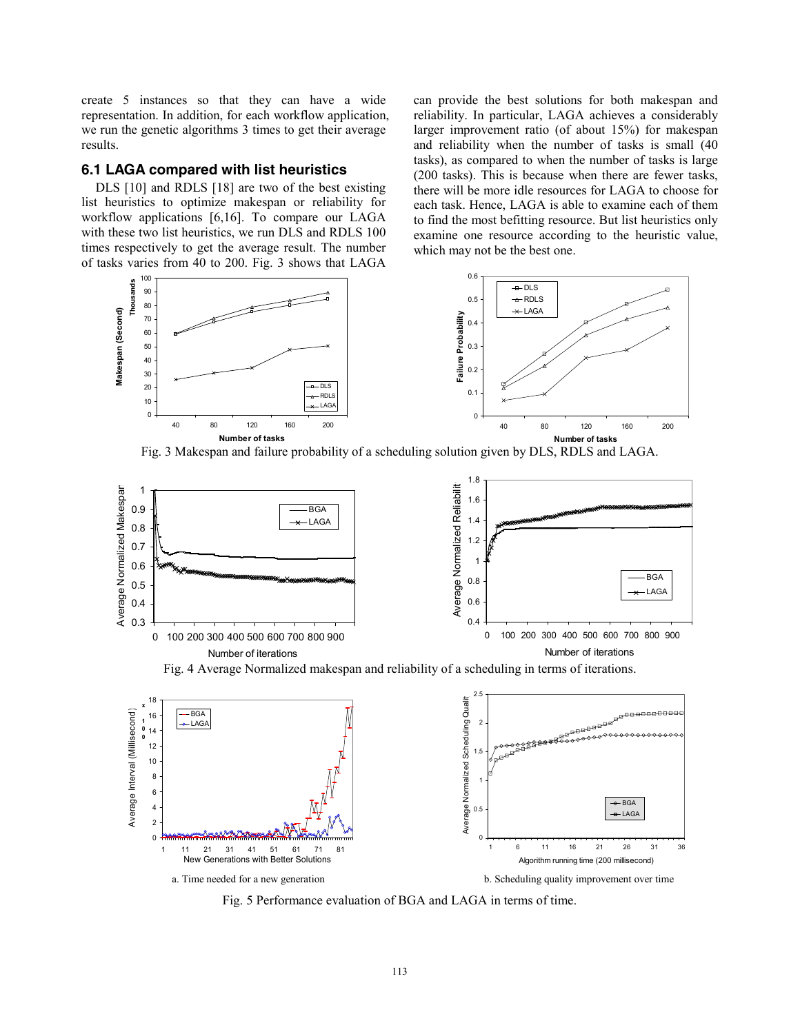create 5 instances so that they can have a wide representation. In addition, for each workflow application, we run the genetic algorithms 3 times to get their average results.

### **6.1 LAGA compared with list heuristics**

DLS [10] and RDLS [18] are two of the best existing list heuristics to optimize makespan or reliability for workflow applications [6,16]. To compare our LAGA with these two list heuristics, we run DLS and RDLS 100 times respectively to get the average result. The number of tasks varies from 40 to 200. Fig. 3 shows that LAGA can provide the best solutions for both makespan and reliability. In particular, LAGA achieves a considerably larger improvement ratio (of about 15%) for makespan and reliability when the number of tasks is small (40 tasks), as compared to when the number of tasks is large (200 tasks). This is because when there are fewer tasks, there will be more idle resources for LAGA to choose for each task. Hence, LAGA is able to examine each of them to find the most befitting resource. But list heuristics only examine one resource according to the heuristic value, which may not be the best one.



Fig. 3 Makespan and failure probability of a scheduling solution given by DLS, RDLS and LAGA.



Fig. 5 Performance evaluation of BGA and LAGA in terms of time.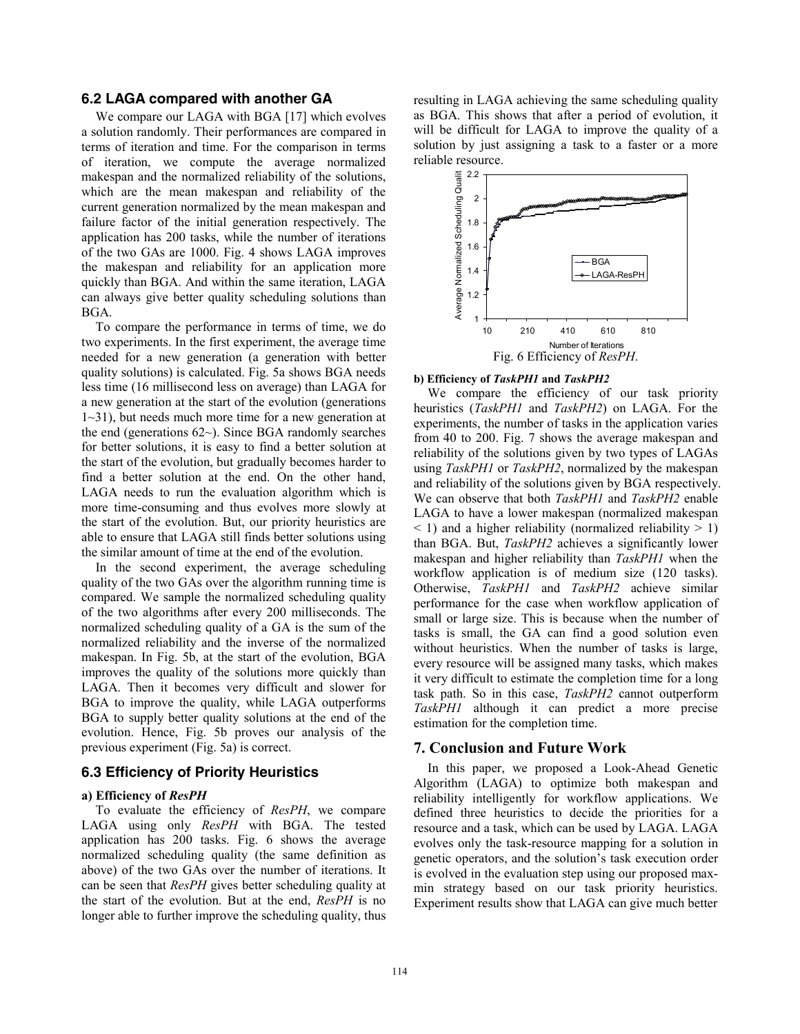### **6.2 LAGA compared with another GA**

We compare our LAGA with BGA [17] which evolves a solution randomly. Their performances are compared in terms of iteration and time. For the comparison in terms of iteration, we compute the average normalized makespan and the normalized reliability of the solutions, which are the mean makespan and reliability of the current generation normalized by the mean makespan and failure factor of the initial generation respectively. The application has 200 tasks, while the number of iterations of the two GAs are 1000. Fig. 4 shows LAGA improves the makespan and reliability for an application more quickly than BGA. And within the same iteration, LAGA can always give better quality scheduling solutions than BGA.

To compare the performance in terms of time, we do two experiments. In the first experiment, the average time needed for a new generation (a generation with better quality solutions) is calculated. Fig. 5a shows BGA needs less time (16 millisecond less on average) than LAGA for a new generation at the start of the evolution (generations 1~31), but needs much more time for a new generation at the end (generations 62~). Since BGA randomly searches for better solutions, it is easy to find a better solution at the start of the evolution, but gradually becomes harder to find a better solution at the end. On the other hand, LAGA needs to run the evaluation algorithm which is more time-consuming and thus evolves more slowly at the start of the evolution. But, our priority heuristics are able to ensure that LAGA still finds better solutions using the similar amount of time at the end of the evolution.

In the second experiment, the average scheduling quality of the two GAs over the algorithm running time is compared. We sample the normalized scheduling quality of the two algorithms after every 200 milliseconds. The normalized scheduling quality of a GA is the sum of the normalized reliability and the inverse of the normalized makespan. In Fig. 5b, at the start of the evolution, BGA improves the quality of the solutions more quickly than LAGA. Then it becomes very difficult and slower for BGA to improve the quality, while LAGA outperforms BGA to supply better quality solutions at the end of the evolution. Hence, Fig. 5b proves our analysis of the previous experiment (Fig. 5a) is correct.

### **6.3 Efficiency of Priority Heuristics**

#### **a) Efficiency of** *ResPH*

To evaluate the efficiency of *ResPH*, we compare LAGA using only *ResPH* with BGA. The tested application has 200 tasks. Fig. 6 shows the average normalized scheduling quality (the same definition as above) of the two GAs over the number of iterations. It can be seen that *ResPH* gives better scheduling quality at the start of the evolution. But at the end, *ResPH* is no longer able to further improve the scheduling quality, thus

resulting in LAGA achieving the same scheduling quality as BGA. This shows that after a period of evolution, it will be difficult for LAGA to improve the quality of a solution by just assigning a task to a faster or a more reliable resource.



#### **b) Efficiency of** *TaskPH1* **and** *TaskPH2*

We compare the efficiency of our task priority heuristics (*TaskPH1* and *TaskPH2*) on LAGA. For the experiments, the number of tasks in the application varies from 40 to 200. Fig. 7 shows the average makespan and reliability of the solutions given by two types of LAGAs using *TaskPH1* or *TaskPH2*, normalized by the makespan and reliability of the solutions given by BGA respectively. We can observe that both *TaskPH1* and *TaskPH2* enable LAGA to have a lower makespan (normalized makespan  $\leq$  1) and a higher reliability (normalized reliability  $>$  1) than BGA. But, *TaskPH2* achieves a significantly lower makespan and higher reliability than *TaskPH1* when the workflow application is of medium size (120 tasks). Otherwise, *TaskPH1* and *TaskPH2* achieve similar performance for the case when workflow application of small or large size. This is because when the number of tasks is small, the GA can find a good solution even without heuristics. When the number of tasks is large, every resource will be assigned many tasks, which makes it very difficult to estimate the completion time for a long task path. So in this case, *TaskPH2* cannot outperform *TaskPH1* although it can predict a more precise estimation for the completion time.

#### **7. Conclusion and Future Work**

In this paper, we proposed a Look-Ahead Genetic Algorithm (LAGA) to optimize both makespan and reliability intelligently for workflow applications. We defined three heuristics to decide the priorities for a resource and a task, which can be used by LAGA. LAGA evolves only the task-resource mapping for a solution in genetic operators, and the solution's task execution order is evolved in the evaluation step using our proposed maxmin strategy based on our task priority heuristics. Experiment results show that LAGA can give much better